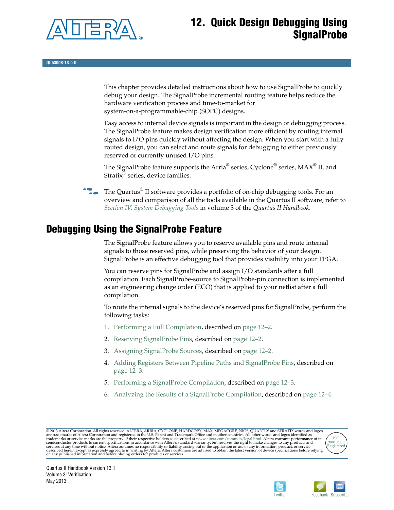

# **12. Quick Design Debugging Using SignalProbe**

**QII53008-13.0.0**

This chapter provides detailed instructions about how to use SignalProbe to quickly debug your design. The SignalProbe incremental routing feature helps reduce the hardware verification process and time-to-market for system-on-a-programmable-chip (SOPC) designs.

Easy access to internal device signals is important in the design or debugging process. The SignalProbe feature makes design verification more efficient by routing internal signals to I/O pins quickly without affecting the design. When you start with a fully routed design, you can select and route signals for debugging to either previously reserved or currently unused I/O pins.

The SignalProbe feature supports the Arria<sup>®</sup> series, Cyclone<sup>®</sup> series, MAX<sup>®</sup> II, and Stratix® series, device families.

The Quartus<sup>®</sup> II software provides a portfolio of on-chip debugging tools. For an overview and comparison of all the tools available in the Quartus II software, refer to *[Section IV. System Debugging Tools](http://www.altera.com/literature/hb/qts/qts_qii5v3_05.pdf)* in volume 3 of the *Quartus II Handbook*.

# <span id="page-0-0"></span>**Debugging Using the SignalProbe Feature**

The SignalProbe feature allows you to reserve available pins and route internal signals to those reserved pins, while preserving the behavior of your design. SignalProbe is an effective debugging tool that provides visibility into your FPGA.

You can reserve pins for SignalProbe and assign I/O standards after a full compilation. Each SignalProbe-source to SignalProbe-pin connection is implemented as an engineering change order (ECO) that is applied to your netlist after a full compilation.

To route the internal signals to the device's reserved pins for SignalProbe, perform the following tasks:

- 1. [Performing a Full Compilation](#page-1-0), described on [page 12–2](#page-1-1).
- 2. [Reserving SignalProbe Pins](#page-1-1), described on [page 12–2](#page-1-0).
- 3. [Assigning SignalProbe Sources,](#page-1-2) described on [page 12–2.](#page-1-2)
- 4. [Adding Registers Between Pipeline Paths and SignalProbe Pins,](#page-2-0) described on [page 12–3.](#page-2-0)
- 5. [Performing a SignalProbe Compilation,](#page-2-1) described on [page 12–3.](#page-2-1)
- 6. [Analyzing the Results of a SignalProbe Compilation,](#page-3-0) described on [page 12–4.](#page-3-0)

© 2013 Altera Corporation. All rights reserved. ALTERA, ARRIA, CYCLONE, HARDCOPY, MAX, MEGACORE, NIOS, QUARTUS and STRATIX words and logos<br>are trademarks of Altera Corporation and registered in the U.S. Patent and Trademar





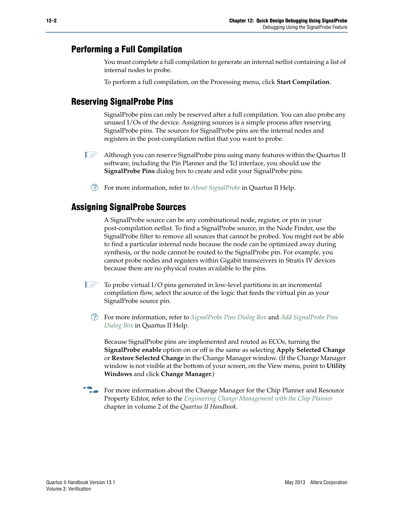### <span id="page-1-0"></span>**Performing a Full Compilation**

You must complete a full compilation to generate an internal netlist containing a list of internal nodes to probe.

To perform a full compilation, on the Processing menu, click **Start Compilation**.

## <span id="page-1-1"></span>**Reserving SignalProbe Pins**

SignalProbe pins can only be reserved after a full compilation. You can also probe any unused I/Os of the device. Assigning sources is a simple process after reserving SignalProbe pins. The sources for SignalProbe pins are the internal nodes and registers in the post-compilation netlist that you want to probe.

- **1 Although you can reserve SignalProbe pins using many features within the Quartus II** software, including the Pin Planner and the Tcl interface, you should use the **SignalProbe Pins** dialog box to create and edit your SignalProbe pins.
	- h For more information, refer to *[About SignalProbe](http://quartushelp.altera.com/current/master.htm#mergedProjects/program/sipro/comp_intro_signalprobe.htm)* in Quartus II Help.

#### <span id="page-1-2"></span>**Assigning SignalProbe Sources**

A SignalProbe source can be any combinational node, register, or pin in your post-compilation netlist. To find a SignalProbe source, in the Node Finder, use the SignalProbe filter to remove all sources that cannot be probed. You might not be able to find a particular internal node because the node can be optimized away during synthesis, or the node cannot be routed to the SignalProbe pin. For example, you cannot probe nodes and registers within Gigabit transceivers in Stratix IV devices because there are no physical routes available to the pins.

- $\mathbb{I}$  To probe virtual I/O pins generated in low-level partitions in an incremental compilation flow, select the source of the logic that feeds the virtual pin as your SignalProbe source pin.
	- h For more information, refer to *[SignalProbe Pins Dialog Box](http://quartushelp.altera.com/current/master.htm#mergedProjects/program/sipro/comp_db_pin_assignments.htm)* and *[Add SignalProbe Pins](http://quartushelp.altera.com/current/master.htm#mergedProjects/program/sipro/sipro_db_add_sipro_pin.htm) [Dialog Box](http://quartushelp.altera.com/current/master.htm#mergedProjects/program/sipro/sipro_db_add_sipro_pin.htm)* in Quartus II Help.

Because SignalProbe pins are implemented and routed as ECOs, turning the **SignalProbe enable** option on or off is the same as selecting **Apply Selected Change** or **Restore Selected Change** in the Change Manager window. (If the Change Manager window is not visible at the bottom of your screen, on the View menu, point to **Utility Windows** and click **Change Manager**.)

**For more information about the Change Manager for the Chip Planner and Resource** Property Editor, refer to the *[Engineering Change Management with the Chip Planner](http://www.altera.com/literature/hb/qts/qts_qii52017.pdf)* chapter in volume 2 of the *Quartus II Handbook*.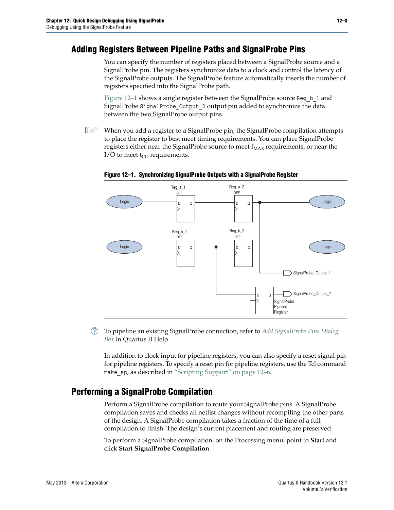## <span id="page-2-0"></span>**Adding Registers Between Pipeline Paths and SignalProbe Pins**

You can specify the number of registers placed between a SignalProbe source and a SignalProbe pin. The registers synchronize data to a clock and control the latency of the SignalProbe outputs. The SignalProbe feature automatically inserts the number of registers specified into the SignalProbe path.

[Figure 12–1](#page-2-2) shows a single register between the SignalProbe source Reg b 1 and SignalProbe SignalProbe\_Output\_2 output pin added to synchronize the data between the two SignalProbe output pins.

 $\mathbb{I}$  When you add a register to a SignalProbe pin, the SignalProbe compilation attempts to place the register to best meet timing requirements. You can place SignalProbe registers either near the SignalProbe source to meet  $f_{MAX}$  requirements, or near the I/O to meet  $t_{CO}$  requirements.



<span id="page-2-2"></span>**Figure 12–1. Synchronizing SignalProbe Outputs with a SignalProbe Register**

h To pipeline an existing SignalProbe connection, refer to *[Add SignalProbe Pins Dialog](http://quartushelp.altera.com/current/master.htm#mergedProjects/program/sipro/sipro_db_add_sipro_pin.htm) [Box](http://quartushelp.altera.com/current/master.htm#mergedProjects/program/sipro/sipro_db_add_sipro_pin.htm)* in Quartus II Help.

In addition to clock input for pipeline registers, you can also specify a reset signal pin for pipeline registers. To specify a reset pin for pipeline registers, use the Tcl command make sp, as described in ["Scripting Support" on page 12–6.](#page-5-0)

### <span id="page-2-1"></span>**Performing a SignalProbe Compilation**

Perform a SignalProbe compilation to route your SignalProbe pins. A SignalProbe compilation saves and checks all netlist changes without recompiling the other parts of the design. A SignalProbe compilation takes a fraction of the time of a full compilation to finish. The design's current placement and routing are preserved.

To perform a SignalProbe compilation, on the Processing menu, point to **Start** and click **Start SignalProbe Compilation**.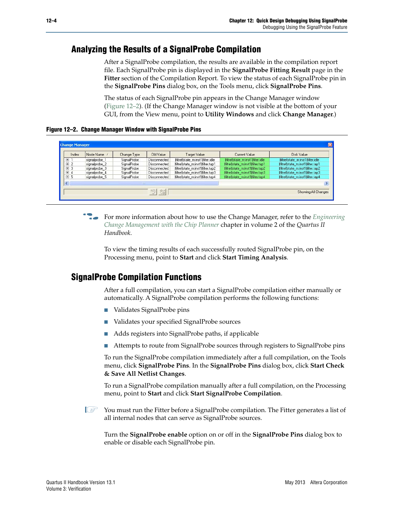## <span id="page-3-0"></span>**Analyzing the Results of a SignalProbe Compilation**

After a SignalProbe compilation, the results are available in the compilation report file. Each SignalProbe pin is displayed in the **SignalProbe Fitting Result** page in the **Fitter** section of the Compilation Report. To view the status of each SignalProbe pin in the **SignalProbe Pins** dialog box, on the Tools menu, click **SignalProbe Pins**.

The status of each SignalProbe pin appears in the Change Manager window [\(Figure 12–2](#page-3-1)). (If the Change Manager window is not visible at the bottom of your GUI, from the View menu, point to **Utility Windows** and click **Change Manager**.)

<span id="page-3-1"></span>**Figure 12–2. Change Manager Window with SignalProbe Pins**

| Index            | Node Name     | Change Type | Old Value    | Target Value                       | Current Value                       | Disk Value                         |
|------------------|---------------|-------------|--------------|------------------------------------|-------------------------------------|------------------------------------|
| $H$ <sup>1</sup> | signalprobe 1 | SignalProbe | Disconnected | filtref state_m:inst1 filter.idle  | filtrefstate_m:inst1ffilter.idle    | filtref state m:inst1 filter.idle  |
| $E$ 2            | signalprobe 2 | SignalProbe | Disconnected | filtref state m:inst1 filter.tap1  | filtref state m:inst1 filter.tap1   | filtref state_m:inst1 filter.tap1  |
| $\boxplus$ 3     | signalprobe 3 | SignalProbe | Disconnected | lfiltrefistate m:inst1lfilter.tap2 | lfiltrefistate m:inst1lfilter.tap2  | filtref state_m:inst1 filter.tap2  |
| $\boxplus$ 4     | signalprobe 4 | SignalProbe | Disconnected | filtref state m:inst1 filter.tap3  | [filtref state m:inst1 filter.tap3. | lfiltref state_m:inst1 filter.tap3 |
| 田 5              | signalprobe 5 | SignalProbe | Disconnected | filtref state_m:inst1 filter.tap4  | filtref state_m:inst1 filter.tap4   | filtref state_m:inst1 filter.tap4  |
|                  |               |             |              |                                    |                                     | $\rightarrow$                      |

f For more information about how to use the Change Manager, refer to the *[Engineering](http://www.altera.com/literature/hb/qts/qts_qii52017.pdf) [Change Management with the Chip Planner](http://www.altera.com/literature/hb/qts/qts_qii52017.pdf)* chapter in volume 2 of the *Quartus II Handbook*.

To view the timing results of each successfully routed SignalProbe pin, on the Processing menu, point to **Start** and click **Start Timing Analysis**.

### <span id="page-3-2"></span>**SignalProbe Compilation Functions**

After a full compilation, you can start a SignalProbe compilation either manually or automatically. A SignalProbe compilation performs the following functions:

- Validates SignalProbe pins
- Validates your specified SignalProbe sources
- Adds registers into SignalProbe paths, if applicable
- Attempts to route from SignalProbe sources through registers to SignalProbe pins

To run the SignalProbe compilation immediately after a full compilation, on the Tools menu, click **SignalProbe Pins**. In the **SignalProbe Pins** dialog box, click **Start Check & Save All Netlist Changes**.

To run a SignalProbe compilation manually after a full compilation, on the Processing menu, point to **Start** and click **Start SignalProbe Compilation**.

**1 You must run the Fitter before a SignalProbe compilation. The Fitter generates a list of** all internal nodes that can serve as SignalProbe sources.

Turn the **SignalProbe enable** option on or off in the **SignalProbe Pins** dialog box to enable or disable each SignalProbe pin.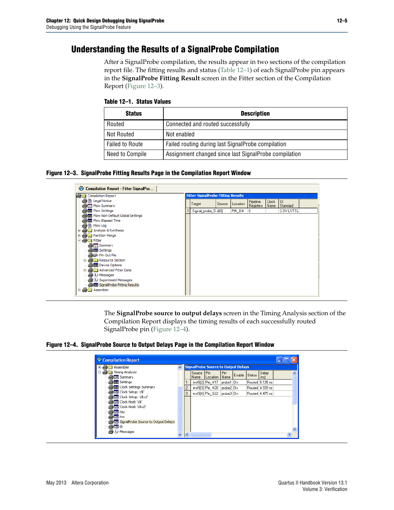## **Understanding the Results of a SignalProbe Compilation**

After a SignalProbe compilation, the results appear in two sections of the compilation report file. The fitting results and status [\(Table 12–1](#page-4-1)) of each SignalProbe pin appears in the **SignalProbe Fitting Result** screen in the Fitter section of the Compilation Report ([Figure 12–3](#page-4-2)).

<span id="page-4-1"></span>**Table 12–1. Status Values**

| <b>Status</b>          | <b>Description</b>                                    |
|------------------------|-------------------------------------------------------|
| Routed                 | Connected and routed successfully                     |
| Not Routed             | Not enabled                                           |
| <b>Failed to Route</b> | Failed routing during last SignalProbe compilation    |
| Need to Compile        | Assignment changed since last SignalProbe compilation |

#### <span id="page-4-2"></span>**Figure 12–3. SignalProbe Fitting Results Page in the Compilation Report Window**



The **SignalProbe source to output delays** screen in the Timing Analysis section of the Compilation Report displays the timing results of each successfully routed SignalProbe pin [\(Figure 12–4](#page-4-0)).

<span id="page-4-0"></span>**Figure 12–4. SignalProbe Source to Output Delays Page in the Compilation Report Window**

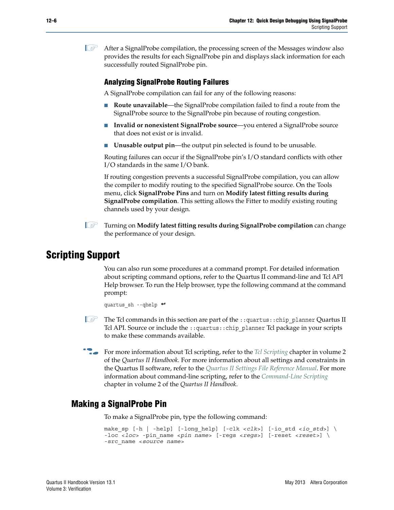$\mathbb{I}$  After a SignalProbe compilation, the processing screen of the Messages window also provides the results for each SignalProbe pin and displays slack information for each successfully routed SignalProbe pin.

#### <span id="page-5-1"></span>**Analyzing SignalProbe Routing Failures**

A SignalProbe compilation can fail for any of the following reasons:

- **Route unavailable—the SignalProbe compilation failed to find a route from the** SignalProbe source to the SignalProbe pin because of routing congestion.
- **Invalid or nonexistent SignalProbe source—you entered a SignalProbe source** that does not exist or is invalid.
- **Unusable output pin—the output pin selected is found to be unusable.**

Routing failures can occur if the SignalProbe pin's I/O standard conflicts with other I/O standards in the same I/O bank.

If routing congestion prevents a successful SignalProbe compilation, you can allow the compiler to modify routing to the specified SignalProbe source. On the Tools menu, click **SignalProbe Pins** and turn on **Modify latest fitting results during SignalProbe compilation**. This setting allows the Fitter to modify existing routing channels used by your design.

**1 Turning on Modify latest fitting results during SignalProbe compilation** can change the performance of your design.

## <span id="page-5-0"></span>**Scripting Support**

You can also run some procedures at a command prompt. For detailed information about scripting command options, refer to the Quartus II command-line and Tcl API Help browser. To run the Help browser, type the following command at the command prompt:

quartus\_sh --qhelp  $\leftrightarrow$ 

- 1 The Tcl commands in this section are part of the ::quartus::chip\_planner Quartus II Tcl API. Source or include the ::quartus::chip\_planner Tcl package in your scripts to make these commands available.
- **For more information about Tcl scripting, refer to the** *[Tcl Scripting](http://www.altera.com/literature/hb/qts/qts_qii52003.pdf)* **chapter in volume 2** of the *Quartus II Handbook*. For more information about all settings and constraints in the Quartus II software, refer to the *[Quartus II Settings File Reference Manual](http://www.altera.com/literature/manual/mnl_qsf_reference.pdf)*. For more information about command-line scripting, refer to the *[Command-Line Scripting](http://www.altera.com/literature/hb/qts/qts_qii52002.pdf)* chapter in volume 2 of the *Quartus II Handbook*.

#### **Making a SignalProbe Pin**

To make a SignalProbe pin, type the following command:

```
make_sp [-h | -help] [-long_help] [-clk <clk>] [-io_std <io_std>] \
-loc <loc> -pin_name <pin name> [-regs <regs>] [-reset <reset>] \
-src_name <source name>
```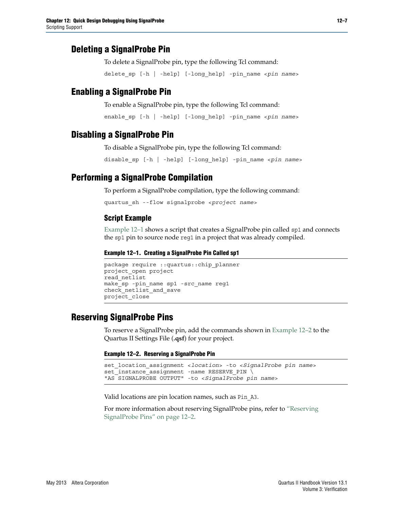### **Deleting a SignalProbe Pin**

To delete a SignalProbe pin, type the following Tcl command:

delete\_sp [-h | -help] [-long\_help] -pin\_name <*pin name*>

### **Enabling a SignalProbe Pin**

To enable a SignalProbe pin, type the following Tcl command:

```
enable_sp [-h | -help] [-long_help] -pin_name <pin name>
```
#### **Disabling a SignalProbe Pin**

To disable a SignalProbe pin, type the following Tcl command:

disable\_sp [-h | -help] [-long\_help] -pin\_name <*pin name*>

#### **Performing a SignalProbe Compilation**

To perform a SignalProbe compilation, type the following command:

quartus\_sh --flow signalprobe <*project name*>

#### **Script Example**

[Example 12–1](#page-6-0) shows a script that creates a SignalProbe pin called sp1 and connects the sp1 pin to source node reg1 in a project that was already compiled.

#### <span id="page-6-0"></span>**Example 12–1. Creating a SignalProbe Pin Called sp1**

```
package require ::quartus::chip_planner
project_open project
read_netlist
make sp -pin name sp1 -src name reg1
check_netlist_and_save
project_close
```
#### **Reserving SignalProbe Pins**

To reserve a SignalProbe pin, add the commands shown in [Example 12–2](#page-6-1) to the Quartus II Settings File (**.qsf**) for your project.

#### <span id="page-6-1"></span>**Example 12–2. Reserving a SignalProbe Pin**

```
set_location_assignment <location> -to <SignalProbe pin name>
set_instance_assignment -name RESERVE_PIN \
"AS SIGNALPROBE OUTPUT" -to <SignalProbe pin name>
```
Valid locations are pin location names, such as Pin\_A3.

For more information about reserving SignalProbe pins, refer to ["Reserving](#page-1-1) [SignalProbe Pins" on page 12–2.](#page-1-1)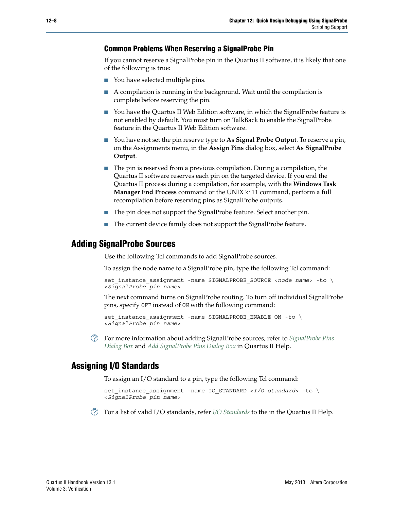#### **Common Problems When Reserving a SignalProbe Pin**

If you cannot reserve a SignalProbe pin in the Quartus II software, it is likely that one of the following is true:

- You have selected multiple pins.
- A compilation is running in the background. Wait until the compilation is complete before reserving the pin.
- You have the Quartus II Web Edition software, in which the SignalProbe feature is not enabled by default. You must turn on TalkBack to enable the SignalProbe feature in the Quartus II Web Edition software.
- You have not set the pin reserve type to **As Signal Probe Output**. To reserve a pin, on the Assignments menu, in the **Assign Pins** dialog box, select **As SignalProbe Output**.
- The pin is reserved from a previous compilation. During a compilation, the Quartus II software reserves each pin on the targeted device. If you end the Quartus II process during a compilation, for example, with the **Windows Task Manager End Process** command or the UNIX kill command, perform a full recompilation before reserving pins as SignalProbe outputs.
- The pin does not support the SignalProbe feature. Select another pin.
- The current device family does not support the SignalProbe feature.

#### **Adding SignalProbe Sources**

Use the following Tcl commands to add SignalProbe sources.

To assign the node name to a SignalProbe pin, type the following Tcl command:

```
set instance assignment -name SIGNALPROBE SOURCE <node name> -to \
<SignalProbe pin name>
```
The next command turns on SignalProbe routing. To turn off individual SignalProbe pins, specify OFF instead of ON with the following command:

```
set instance assignment -name SIGNALPROBE ENABLE ON -to \
<SignalProbe pin name>
```
h For more information about adding SignalProbe sources, refer to *[SignalProbe Pins](http://quartushelp.altera.com/current/master.htm#mergedProjects/program/sipro/comp_db_pin_assignments.htm) [Dialog Box](http://quartushelp.altera.com/current/master.htm#mergedProjects/program/sipro/comp_db_pin_assignments.htm)* and *[Add SignalProbe Pins Dialog Box](http://quartushelp.altera.com/current/master.htm#mergedProjects/program/sipro/sipro_db_add_sipro_pin.htm)* in Quartus II Help.

#### **Assigning I/O Standards**

To assign an I/O standard to a pin, type the following Tcl command:

```
set_instance_assignment -name IO_STANDARD <I/O standard> -to \
<SignalProbe pin name>
```
h For a list of valid I/O standards, refer *[I](Add SignalProbe Pins Dialog Box)[/O Standards](http://quartushelp.altera.com/current/mergedProjects/reference/glossary/def_iostandard.htm)* to the in the Quartus II Help.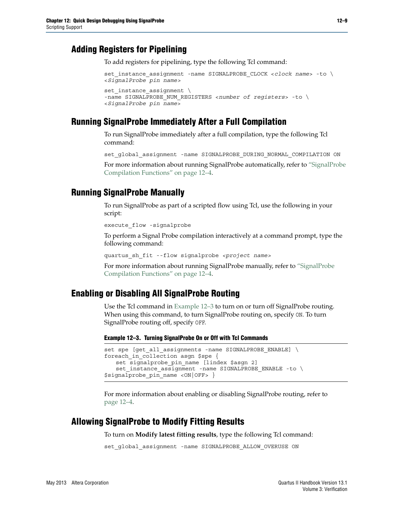### **Adding Registers for Pipelining**

To add registers for pipelining, type the following Tcl command:

```
set_instance_assignment -name SIGNALPROBE_CLOCK <clock name> -to \
<SignalProbe pin name>
set instance assignment \
-name SIGNALPROBE_NUM_REGISTERS <number of registers> -to \
<SignalProbe pin name>
```
### **Running SignalProbe Immediately After a Full Compilation**

To run SignalProbe immediately after a full compilation, type the following Tcl command:

set global assignment -name SIGNALPROBE DURING NORMAL COMPILATION ON

For more information about running SignalProbe automatically, refer to ["SignalProbe](#page-3-2) [Compilation Functions" on page 12–4.](#page-3-2)

#### **Running SignalProbe Manually**

To run SignalProbe as part of a scripted flow using Tcl, use the following in your script:

execute flow -signalprobe

To perform a Signal Probe compilation interactively at a command prompt, type the following command:

quartus\_sh\_fit --flow signalprobe *<project name>*

For more information about running SignalProbe manually, refer to ["SignalProbe](#page-3-2) [Compilation Functions" on page 12–4.](#page-3-2)

#### **Enabling or Disabling All SignalProbe Routing**

Use the Tcl command in [Example 12–3](#page-8-0) to turn on or turn off SignalProbe routing. When using this command, to turn SignalProbe routing on, specify ON. To turn SignalProbe routing off, specify OFF.

#### <span id="page-8-0"></span>**Example 12–3. Turning SignalProbe On or Off with Tcl Commands**

```
set spe [get_all_assignments -name SIGNALPROBE ENABLE] \
foreach_in_collection asgn $spe {
   set signalprobe pin name [lindex $asgn 2]
   set instance assignment -name SIGNALPROBE ENABLE -to \
$signalprobe_pin_name <ON|OFF> }
```
For more information about enabling or disabling SignalProbe routing, refer to [page 12–4.](#page-3-2)

#### **Allowing SignalProbe to Modify Fitting Results**

To turn on **Modify latest fitting results**, type the following Tcl command:

set global assignment -name SIGNALPROBE ALLOW OVERUSE ON